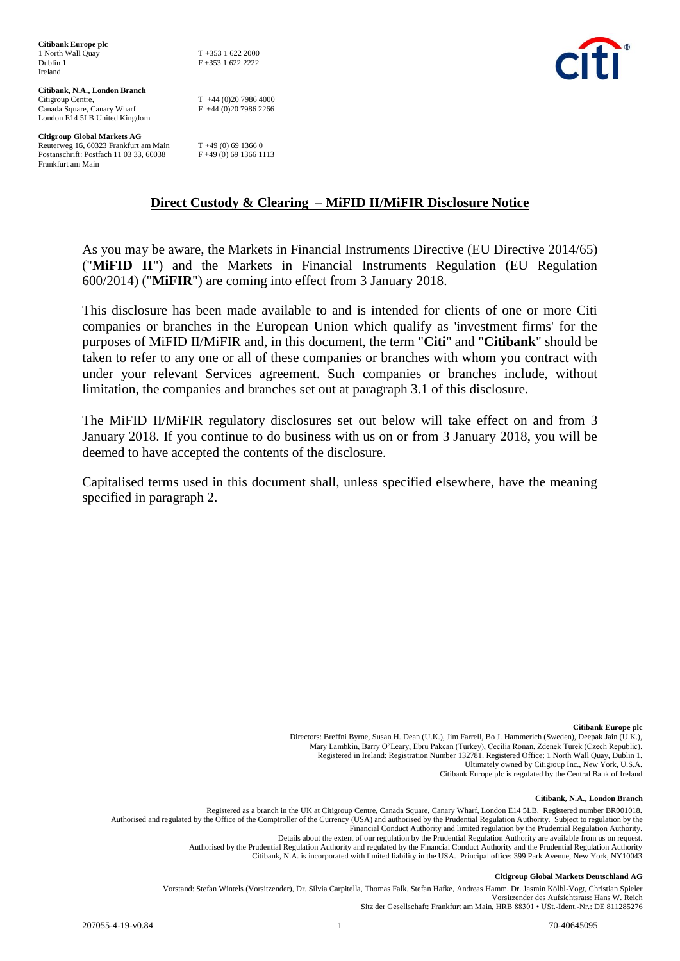| Citibank Europe plc                     |                        |
|-----------------------------------------|------------------------|
| 1 North Wall Quay                       | $T + 35316222000$      |
| Dublin 1                                | $F + 3531622222$       |
| Ireland                                 |                        |
|                                         |                        |
| Citibank, N.A., London Branch           |                        |
| Citigroup Centre,                       | $T +44(0)2079864000$   |
| Canada Square, Canary Wharf             | $F +44(0)2079862266$   |
| London E14 5LB United Kingdom           |                        |
| <b>Citigroup Global Markets AG</b>      |                        |
| Reuterweg 16, 60323 Frankfurt am Main   | $T + 49(0)$ 69 1366 0  |
| Postanschrift: Postfach 11 03 33, 60038 | F +49 (0) 69 1366 1113 |
| Frankfurt am Main                       |                        |



**Direct Custody & Clearing – MiFID II/MiFIR Disclosure Notice**

As you may be aware, the Markets in Financial Instruments Directive (EU Directive 2014/65) ("**MiFID II**") and the Markets in Financial Instruments Regulation (EU Regulation 600/2014) ("**MiFIR**") are coming into effect from 3 January 2018.

This disclosure has been made available to and is intended for clients of one or more Citi companies or branches in the European Union which qualify as 'investment firms' for the purposes of MiFID II/MiFIR and, in this document, the term "**Citi**" and "**Citibank**" should be taken to refer to any one or all of these companies or branches with whom you contract with under your relevant Services agreement. Such companies or branches include, without limitation, the companies and branches set out at paragraph 3.1 of this disclosure.

The MiFID II/MiFIR regulatory disclosures set out below will take effect on and from 3 January 2018. If you continue to do business with us on or from 3 January 2018, you will be deemed to have accepted the contents of the disclosure.

Capitalised terms used in this document shall, unless specified elsewhere, have the meaning specified in paragraph 2.

> **Citibank Europe plc** Directors: Breffni Byrne, Susan H. Dean (U.K.), Jim Farrell, Bo J. Hammerich (Sweden), Deepak Jain (U.K.), Mary Lambkin, Barry O'Leary, Ebru Pakcan (Turkey), Cecilia Ronan, Zdenek Turek (Czech Republic). Registered in Ireland: Registration Number 132781. Registered Office: 1 North Wall Quay, Dublin 1. Ultimately owned by Citigroup Inc., New York, U.S.A. Citibank Europe plc is regulated by the Central Bank of Ireland

#### **Citibank, N.A., London Branch**

Registered as a branch in the UK at Citigroup Centre, Canada Square, Canary Wharf, London E14 5LB. Registered number BR001018. Authorised and regulated by the Office of the Comptroller of the Currency (USA) and authorised by the Prudential Regulation Authority. Subject to regulation by the Financial Conduct Authority and limited regulation by the Prudential Regulation Authority. Details about the extent of our regulation by the Prudential Regulation Authority are available from us on request. Authorised by the Prudential Regulation Authority and regulated by the Financial Conduct Authority and the Prudential Regulation Authority Citibank, N.A. is incorporated with limited liability in the USA. Principal office: 399 Park Avenue, New York, NY10043

#### **Citigroup Global Markets Deutschland AG**

Vorstand: Stefan Wintels (Vorsitzender), Dr. Silvia Carpitella, Thomas Falk, Stefan Hafke, Andreas Hamm, Dr. Jasmin Kölbl-Vogt, Christian Spieler Vorsitzender des Aufsichtsrats: Hans W. Reich Sitz der Gesellschaft: Frankfurt am Main, HRB 88301 • USt.-Ident.-Nr.: DE 811285276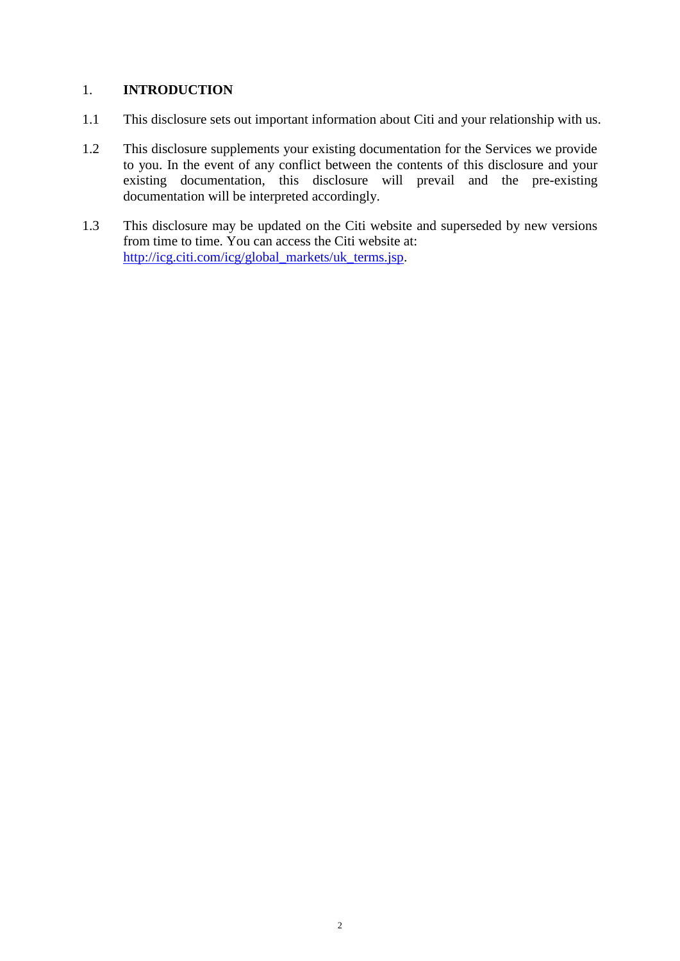## 1. **INTRODUCTION**

- 1.1 This disclosure sets out important information about Citi and your relationship with us.
- 1.2 This disclosure supplements your existing documentation for the Services we provide to you. In the event of any conflict between the contents of this disclosure and your existing documentation, this disclosure will prevail and the pre-existing documentation will be interpreted accordingly.
- 1.3 This disclosure may be updated on the Citi website and superseded by new versions from time to time. You can access the Citi website at: [http://icg.citi.com/icg/global\\_markets/uk\\_terms.jsp.](http://icg.citi.com/icg/global_markets/uk_terms.jsp)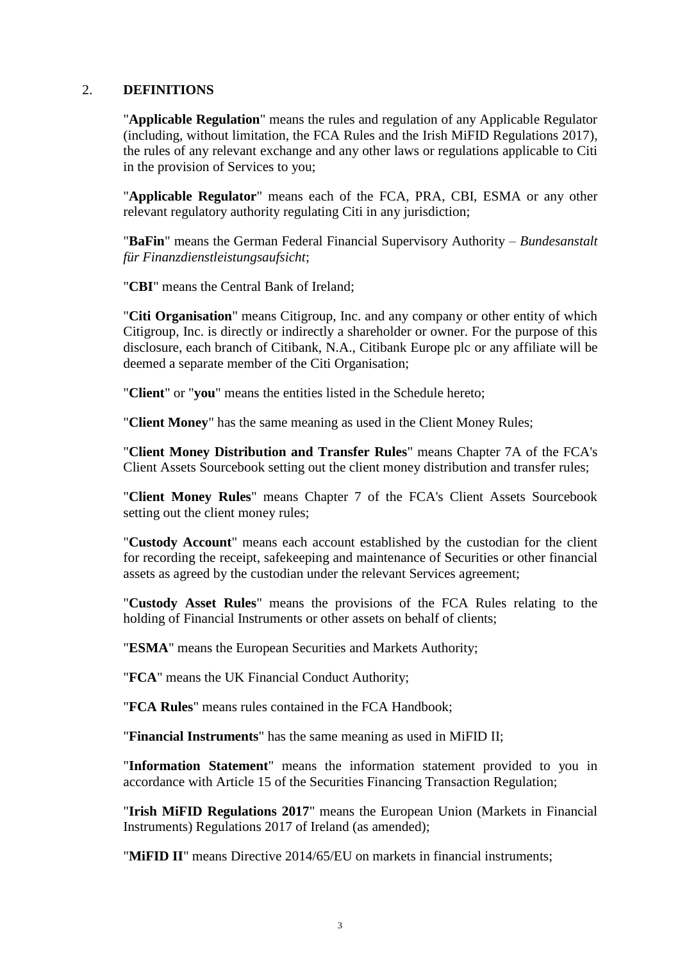#### 2. **DEFINITIONS**

"**Applicable Regulation**" means the rules and regulation of any Applicable Regulator (including, without limitation, the FCA Rules and the Irish MiFID Regulations 2017), the rules of any relevant exchange and any other laws or regulations applicable to Citi in the provision of Services to you;

"**Applicable Regulator**" means each of the FCA, PRA, CBI, ESMA or any other relevant regulatory authority regulating Citi in any jurisdiction;

"**BaFin**" means the German Federal Financial Supervisory Authority – *Bundesanstalt für Finanzdienstleistungsaufsicht*;

"**CBI**" means the Central Bank of Ireland;

"**Citi Organisation**" means Citigroup, Inc. and any company or other entity of which Citigroup, Inc. is directly or indirectly a shareholder or owner. For the purpose of this disclosure, each branch of Citibank, N.A., Citibank Europe plc or any affiliate will be deemed a separate member of the Citi Organisation;

"**Client**" or "**you**" means the entities listed in the Schedule hereto;

"**Client Money**" has the same meaning as used in the Client Money Rules;

"**Client Money Distribution and Transfer Rules**" means Chapter 7A of the FCA's Client Assets Sourcebook setting out the client money distribution and transfer rules;

"**Client Money Rules**" means Chapter 7 of the FCA's Client Assets Sourcebook setting out the client money rules;

"**Custody Account**" means each account established by the custodian for the client for recording the receipt, safekeeping and maintenance of Securities or other financial assets as agreed by the custodian under the relevant Services agreement;

"**Custody Asset Rules**" means the provisions of the FCA Rules relating to the holding of Financial Instruments or other assets on behalf of clients;

"**ESMA**" means the European Securities and Markets Authority;

"**FCA**" means the UK Financial Conduct Authority;

"**FCA Rules**" means rules contained in the FCA Handbook;

"**Financial Instruments**" has the same meaning as used in MiFID II;

"**Information Statement**" means the information statement provided to you in accordance with Article 15 of the Securities Financing Transaction Regulation;

"**Irish MiFID Regulations 2017**" means the European Union (Markets in Financial Instruments) Regulations 2017 of Ireland (as amended);

"**MiFID II**" means Directive 2014/65/EU on markets in financial instruments;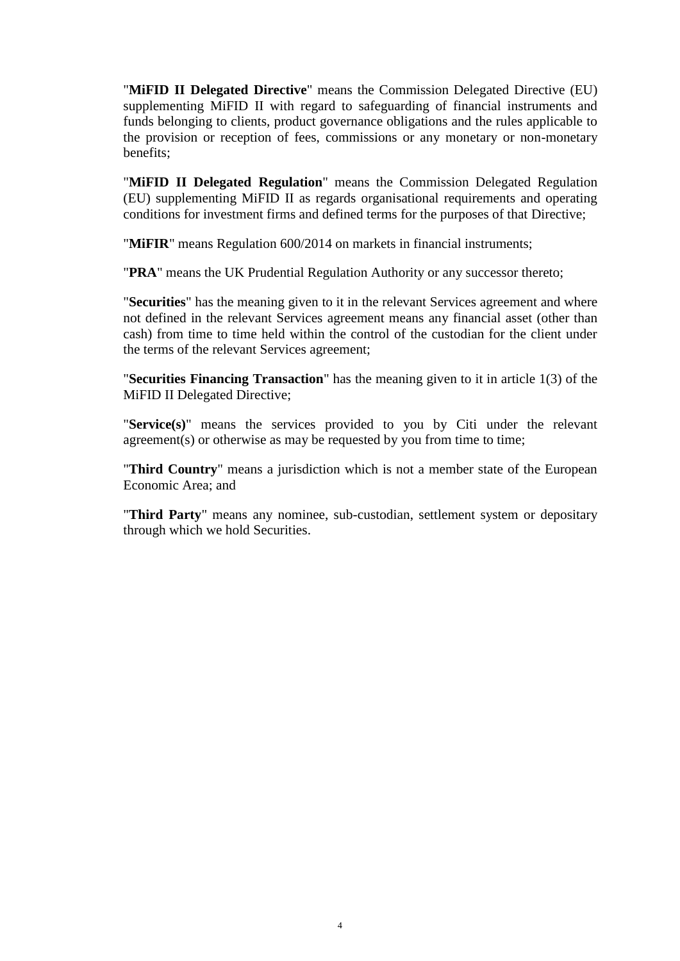"**MiFID II Delegated Directive**" means the Commission Delegated Directive (EU) supplementing MiFID II with regard to safeguarding of financial instruments and funds belonging to clients, product governance obligations and the rules applicable to the provision or reception of fees, commissions or any monetary or non-monetary benefits;

"**MiFID II Delegated Regulation**" means the Commission Delegated Regulation (EU) supplementing MiFID II as regards organisational requirements and operating conditions for investment firms and defined terms for the purposes of that Directive;

"**MiFIR**" means Regulation 600/2014 on markets in financial instruments;

"**PRA**" means the UK Prudential Regulation Authority or any successor thereto;

"**Securities**" has the meaning given to it in the relevant Services agreement and where not defined in the relevant Services agreement means any financial asset (other than cash) from time to time held within the control of the custodian for the client under the terms of the relevant Services agreement;

"**Securities Financing Transaction**" has the meaning given to it in article 1(3) of the MiFID II Delegated Directive;

"**Service(s)**" means the services provided to you by Citi under the relevant agreement(s) or otherwise as may be requested by you from time to time;

"**Third Country**" means a jurisdiction which is not a member state of the European Economic Area; and

"**Third Party**" means any nominee, sub-custodian, settlement system or depositary through which we hold Securities.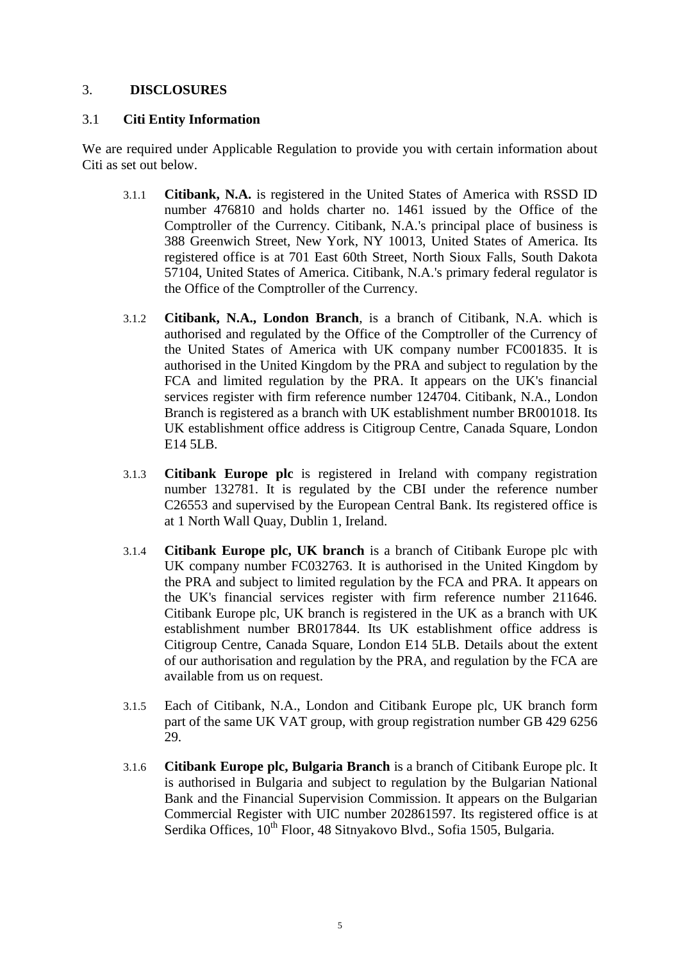## 3. **DISCLOSURES**

#### 3.1 **Citi Entity Information**

We are required under Applicable Regulation to provide you with certain information about Citi as set out below.

- 3.1.1 **Citibank, N.A.** is registered in the United States of America with RSSD ID number 476810 and holds charter no. 1461 issued by the Office of the Comptroller of the Currency. Citibank, N.A.'s principal place of business is 388 Greenwich Street, New York, NY 10013, United States of America. Its registered office is at 701 East 60th Street, North Sioux Falls, South Dakota 57104, United States of America. Citibank, N.A.'s primary federal regulator is the Office of the Comptroller of the Currency.
- 3.1.2 **Citibank, N.A., London Branch**, is a branch of Citibank, N.A. which is authorised and regulated by the Office of the Comptroller of the Currency of the United States of America with UK company number FC001835. It is authorised in the United Kingdom by the PRA and subject to regulation by the FCA and limited regulation by the PRA. It appears on the UK's financial services register with firm reference number 124704. Citibank, N.A., London Branch is registered as a branch with UK establishment number BR001018. Its UK establishment office address is Citigroup Centre, Canada Square, London E14 5LB.
- 3.1.3 **Citibank Europe plc** is registered in Ireland with company registration number 132781. It is regulated by the CBI under the reference number C26553 and supervised by the European Central Bank. Its registered office is at 1 North Wall Quay, Dublin 1, Ireland.
- 3.1.4 **Citibank Europe plc, UK branch** is a branch of Citibank Europe plc with UK company number FC032763. It is authorised in the United Kingdom by the PRA and subject to limited regulation by the FCA and PRA. It appears on the UK's financial services register with firm reference number 211646. Citibank Europe plc, UK branch is registered in the UK as a branch with UK establishment number BR017844. Its UK establishment office address is Citigroup Centre, Canada Square, London E14 5LB. Details about the extent of our authorisation and regulation by the PRA, and regulation by the FCA are available from us on request.
- 3.1.5 Each of Citibank, N.A., London and Citibank Europe plc, UK branch form part of the same UK VAT group, with group registration number GB 429 6256 29.
- 3.1.6 **Citibank Europe plc, Bulgaria Branch** is a branch of Citibank Europe plc. It is authorised in Bulgaria and subject to regulation by the Bulgarian National Bank and the Financial Supervision Commission. It appears on the Bulgarian Commercial Register with UIC number 202861597. Its registered office is at Serdika Offices, 10<sup>th</sup> Floor, 48 Sitnyakovo Blvd., Sofia 1505, Bulgaria.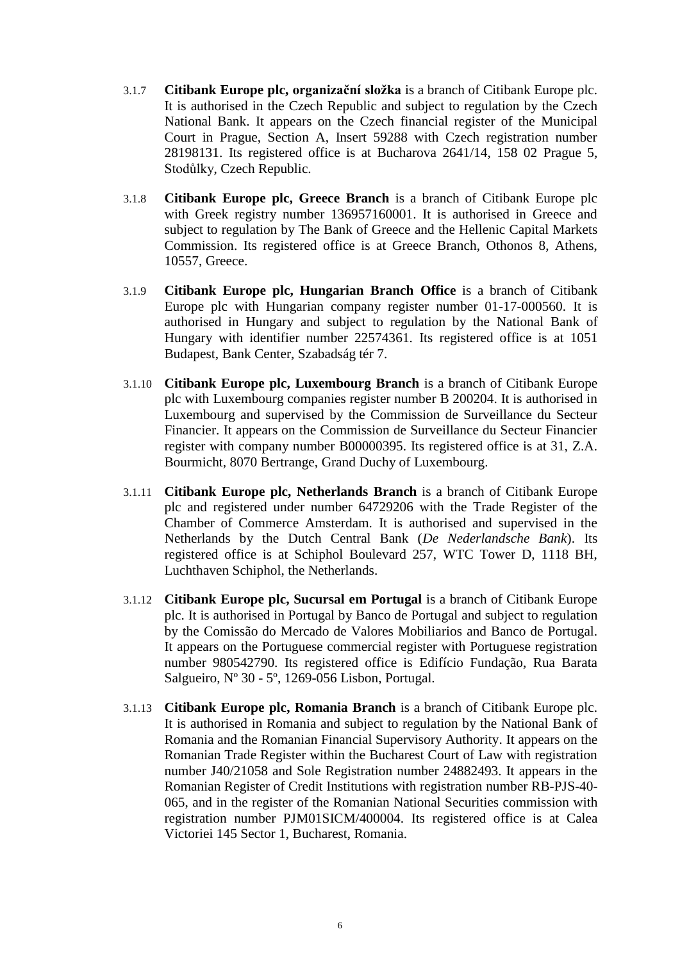- 3.1.7 **Citibank Europe plc, organizační složka** is a branch of Citibank Europe plc. It is authorised in the Czech Republic and subject to regulation by the Czech National Bank. It appears on the Czech financial register of the Municipal Court in Prague, Section A, Insert 59288 with Czech registration number 28198131. Its registered office is at Bucharova 2641/14, 158 02 Prague 5, Stodůlky, Czech Republic.
- 3.1.8 **Citibank Europe plc, Greece Branch** is a branch of Citibank Europe plc with Greek registry number 136957160001. It is authorised in Greece and subject to regulation by The Bank of Greece and the Hellenic Capital Markets Commission. Its registered office is at Greece Branch, Othonos 8, Athens, 10557, Greece.
- 3.1.9 **Citibank Europe plc, Hungarian Branch Office** is a branch of Citibank Europe plc with Hungarian company register number 01-17-000560. It is authorised in Hungary and subject to regulation by the National Bank of Hungary with identifier number 22574361. Its registered office is at 1051 Budapest, Bank Center, Szabadság tér 7.
- 3.1.10 **Citibank Europe plc, Luxembourg Branch** is a branch of Citibank Europe plc with Luxembourg companies register number B 200204. It is authorised in Luxembourg and supervised by the Commission de Surveillance du Secteur Financier. It appears on the Commission de Surveillance du Secteur Financier register with company number B00000395. Its registered office is at 31, Z.A. Bourmicht, 8070 Bertrange, Grand Duchy of Luxembourg.
- 3.1.11 **Citibank Europe plc, Netherlands Branch** is a branch of Citibank Europe plc and registered under number 64729206 with the Trade Register of the Chamber of Commerce Amsterdam. It is authorised and supervised in the Netherlands by the Dutch Central Bank (*De Nederlandsche Bank*). Its registered office is at Schiphol Boulevard 257, WTC Tower D, 1118 BH, Luchthaven Schiphol, the Netherlands.
- 3.1.12 **Citibank Europe plc, Sucursal em Portugal** is a branch of Citibank Europe plc. It is authorised in Portugal by Banco de Portugal and subject to regulation by the Comissão do Mercado de Valores Mobiliarios and Banco de Portugal. It appears on the Portuguese commercial register with Portuguese registration number 980542790. Its registered office is Edifício Fundação, Rua Barata Salgueiro, Nº 30 - 5º, 1269-056 Lisbon, Portugal.
- 3.1.13 **Citibank Europe plc, Romania Branch** is a branch of Citibank Europe plc. It is authorised in Romania and subject to regulation by the National Bank of Romania and the Romanian Financial Supervisory Authority. It appears on the Romanian Trade Register within the Bucharest Court of Law with registration number J40/21058 and Sole Registration number 24882493. It appears in the Romanian Register of Credit Institutions with registration number RB-PJS-40- 065, and in the register of the Romanian National Securities commission with registration number PJM01SICM/400004. Its registered office is at Calea Victoriei 145 Sector 1, Bucharest, Romania.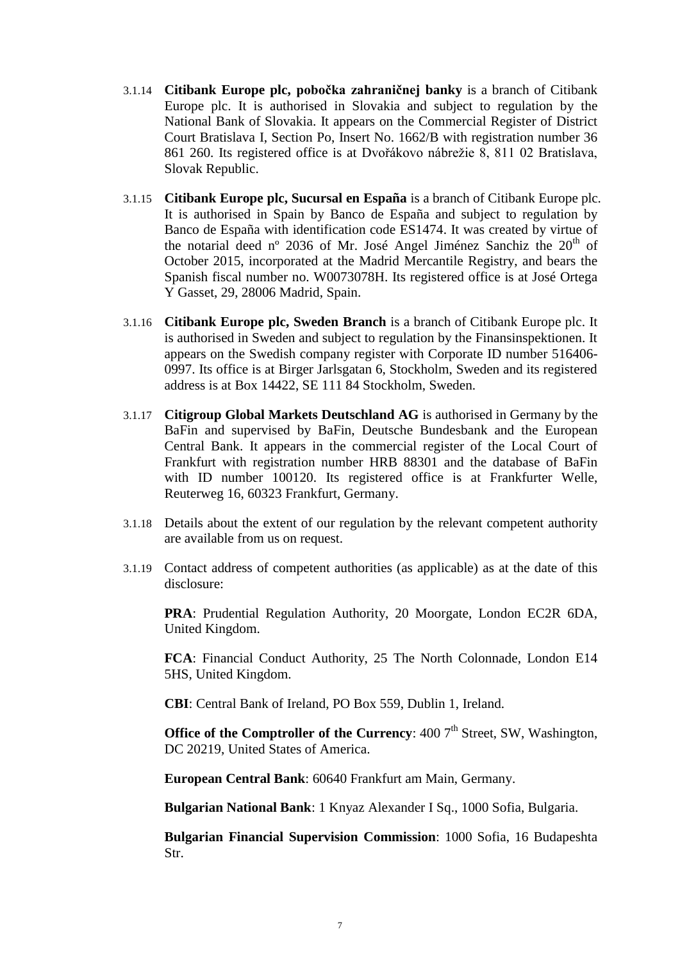- 3.1.14 **Citibank Europe plc, pobočka zahraničnej banky** is a branch of Citibank Europe plc. It is authorised in Slovakia and subject to regulation by the National Bank of Slovakia. It appears on the Commercial Register of District Court Bratislava I, Section Po, Insert No. 1662/B with registration number 36 861 260. Its registered office is at Dvořákovo nábrežie 8, 811 02 Bratislava, Slovak Republic.
- 3.1.15 **Citibank Europe plc, Sucursal en España** is a branch of Citibank Europe plc. It is authorised in Spain by Banco de España and subject to regulation by Banco de España with identification code ES1474. It was created by virtue of the notarial deed n° 2036 of Mr. José Angel Jiménez Sanchiz the 20<sup>th</sup> of October 2015, incorporated at the Madrid Mercantile Registry, and bears the Spanish fiscal number no. W0073078H. Its registered office is at José Ortega Y Gasset, 29, 28006 Madrid, Spain.
- 3.1.16 **Citibank Europe plc, Sweden Branch** is a branch of Citibank Europe plc. It is authorised in Sweden and subject to regulation by the Finansinspektionen. It appears on the Swedish company register with Corporate ID number 516406- 0997. Its office is at Birger Jarlsgatan 6, Stockholm, Sweden and its registered address is at Box 14422, SE 111 84 Stockholm, Sweden.
- 3.1.17 **Citigroup Global Markets Deutschland AG** is authorised in Germany by the BaFin and supervised by BaFin, Deutsche Bundesbank and the European Central Bank. It appears in the commercial register of the Local Court of Frankfurt with registration number HRB 88301 and the database of BaFin with ID number 100120. Its registered office is at Frankfurter Welle, Reuterweg 16, 60323 Frankfurt, Germany.
- 3.1.18 Details about the extent of our regulation by the relevant competent authority are available from us on request.
- 3.1.19 Contact address of competent authorities (as applicable) as at the date of this disclosure:

**PRA**: Prudential Regulation Authority, 20 Moorgate, London EC2R 6DA, United Kingdom.

**FCA**: Financial Conduct Authority, 25 The North Colonnade, London E14 5HS, United Kingdom.

**CBI**: Central Bank of Ireland, PO Box 559, Dublin 1, Ireland.

**Office of the Comptroller of the Currency:**  $4007<sup>th</sup>$  Street, SW, Washington, DC 20219. United States of America.

**European Central Bank**: 60640 Frankfurt am Main, Germany.

**Bulgarian National Bank**: 1 Knyaz Alexander I Sq., 1000 Sofia, Bulgaria.

**Bulgarian Financial Supervision Commission**: 1000 Sofia, 16 Budapeshta Str.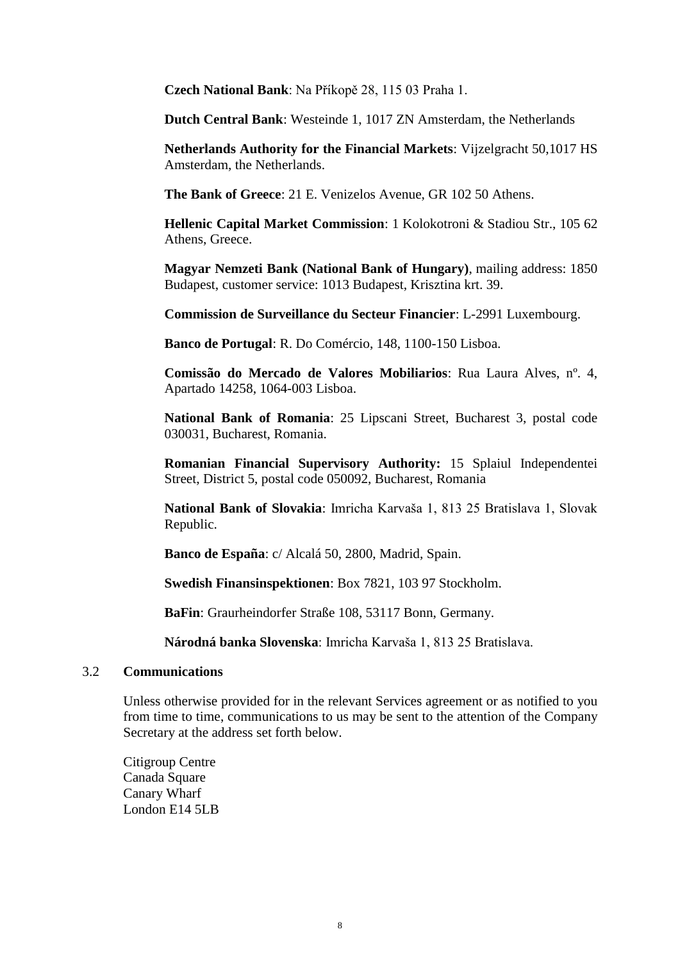**Czech National Bank**: Na Příkopě 28, 115 03 Praha 1.

**Dutch Central Bank**: Westeinde 1, 1017 ZN Amsterdam, the Netherlands

**Netherlands Authority for the Financial Markets**: Vijzelgracht 50,1017 HS Amsterdam, the Netherlands.

**The Bank of Greece**: 21 E. Venizelos Avenue, GR 102 50 Athens.

**Hellenic Capital Market Commission**: 1 Kolokotroni & Stadiou Str., 105 62 Athens, Greece.

**Magyar Nemzeti Bank (National Bank of Hungary)**, mailing address: 1850 Budapest, customer service: 1013 Budapest, Krisztina krt. 39.

**Commission de Surveillance du Secteur Financier**: L-2991 Luxembourg.

**Banco de Portugal**: R. Do Comércio, 148, 1100-150 Lisboa.

**Comissão do Mercado de Valores Mobiliarios**: Rua Laura Alves, nº. 4, Apartado 14258, 1064-003 Lisboa.

**National Bank of Romania**: 25 Lipscani Street, Bucharest 3, postal code 030031, Bucharest, Romania.

**Romanian Financial Supervisory Authority:** 15 Splaiul Independentei Street, District 5, postal code 050092, Bucharest, Romania

**National Bank of Slovakia**: Imricha Karvaša 1, 813 25 Bratislava 1, Slovak Republic.

**Banco de España**: c/ Alcalá 50, 2800, Madrid, Spain.

**Swedish Finansinspektionen**: Box 7821, 103 97 Stockholm.

**BaFin**: Graurheindorfer Straße 108, 53117 Bonn, Germany.

**Národná banka Slovenska**: Imricha Karvaša 1, 813 25 Bratislava.

#### 3.2 **Communications**

Unless otherwise provided for in the relevant Services agreement or as notified to you from time to time, communications to us may be sent to the attention of the Company Secretary at the address set forth below.

Citigroup Centre Canada Square Canary Wharf London E14 5LB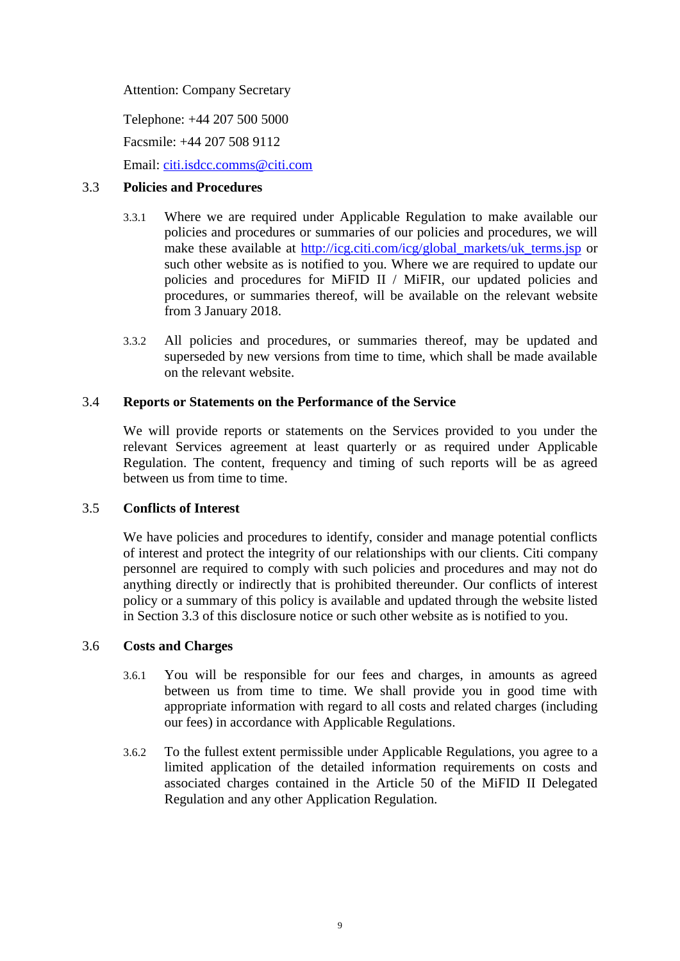Attention: Company Secretary

Telephone: +44 207 500 5000

Facsmile: +44 207 508 9112

Email: [citi.isdcc.comms@citi.com](mailto:citi.isdcc.comms@citi.com)

## <span id="page-8-0"></span>3.3 **Policies and Procedures**

- 3.3.1 Where we are required under Applicable Regulation to make available our policies and procedures or summaries of our policies and procedures, we will make these available at [http://icg.citi.com/icg/global\\_markets/uk\\_terms.jsp](http://icg.citi.com/icg/global_markets/uk_terms.jsp) or such other website as is notified to you. Where we are required to update our policies and procedures for MiFID II / MiFIR, our updated policies and procedures, or summaries thereof, will be available on the relevant website from 3 January 2018.
- 3.3.2 All policies and procedures, or summaries thereof, may be updated and superseded by new versions from time to time, which shall be made available on the relevant website.

## 3.4 **Reports or Statements on the Performance of the Service**

We will provide reports or statements on the Services provided to you under the relevant Services agreement at least quarterly or as required under Applicable Regulation. The content, frequency and timing of such reports will be as agreed between us from time to time.

# 3.5 **Conflicts of Interest**

We have policies and procedures to identify, consider and manage potential conflicts of interest and protect the integrity of our relationships with our clients. Citi company personnel are required to comply with such policies and procedures and may not do anything directly or indirectly that is prohibited thereunder. Our conflicts of interest policy or a summary of this policy is available and updated through the website listed in Section [3.3](#page-8-0) of this disclosure notice or such other website as is notified to you.

# 3.6 **Costs and Charges**

- 3.6.1 You will be responsible for our fees and charges, in amounts as agreed between us from time to time. We shall provide you in good time with appropriate information with regard to all costs and related charges (including our fees) in accordance with Applicable Regulations.
- 3.6.2 To the fullest extent permissible under Applicable Regulations, you agree to a limited application of the detailed information requirements on costs and associated charges contained in the Article 50 of the MiFID II Delegated Regulation and any other Application Regulation.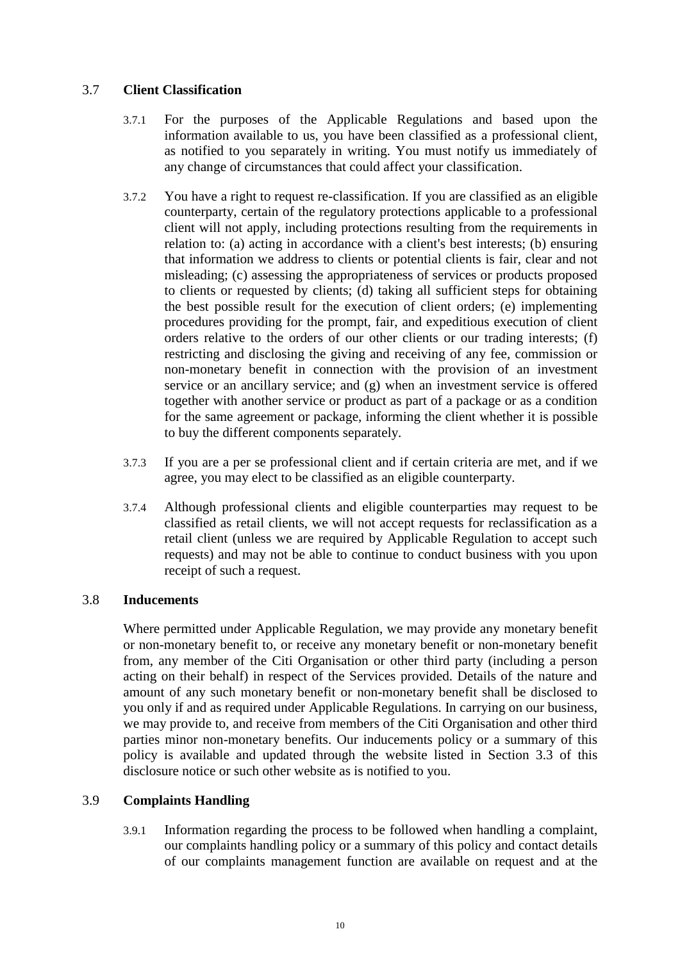# 3.7 **Client Classification**

- 3.7.1 For the purposes of the Applicable Regulations and based upon the information available to us, you have been classified as a professional client, as notified to you separately in writing. You must notify us immediately of any change of circumstances that could affect your classification.
- 3.7.2 You have a right to request re-classification. If you are classified as an eligible counterparty, certain of the regulatory protections applicable to a professional client will not apply, including protections resulting from the requirements in relation to: (a) acting in accordance with a client's best interests; (b) ensuring that information we address to clients or potential clients is fair, clear and not misleading; (c) assessing the appropriateness of services or products proposed to clients or requested by clients; (d) taking all sufficient steps for obtaining the best possible result for the execution of client orders; (e) implementing procedures providing for the prompt, fair, and expeditious execution of client orders relative to the orders of our other clients or our trading interests; (f) restricting and disclosing the giving and receiving of any fee, commission or non-monetary benefit in connection with the provision of an investment service or an ancillary service; and (g) when an investment service is offered together with another service or product as part of a package or as a condition for the same agreement or package, informing the client whether it is possible to buy the different components separately.
- 3.7.3 If you are a per se professional client and if certain criteria are met, and if we agree, you may elect to be classified as an eligible counterparty.
- 3.7.4 Although professional clients and eligible counterparties may request to be classified as retail clients, we will not accept requests for reclassification as a retail client (unless we are required by Applicable Regulation to accept such requests) and may not be able to continue to conduct business with you upon receipt of such a request.

#### 3.8 **Inducements**

Where permitted under Applicable Regulation, we may provide any monetary benefit or non-monetary benefit to, or receive any monetary benefit or non-monetary benefit from, any member of the Citi Organisation or other third party (including a person acting on their behalf) in respect of the Services provided. Details of the nature and amount of any such monetary benefit or non-monetary benefit shall be disclosed to you only if and as required under Applicable Regulations. In carrying on our business, we may provide to, and receive from members of the Citi Organisation and other third parties minor non-monetary benefits. Our inducements policy or a summary of this policy is available and updated through the website listed in Section [3.3](#page-8-0) of this disclosure notice or such other website as is notified to you.

# 3.9 **Complaints Handling**

3.9.1 Information regarding the process to be followed when handling a complaint, our complaints handling policy or a summary of this policy and contact details of our complaints management function are available on request and at the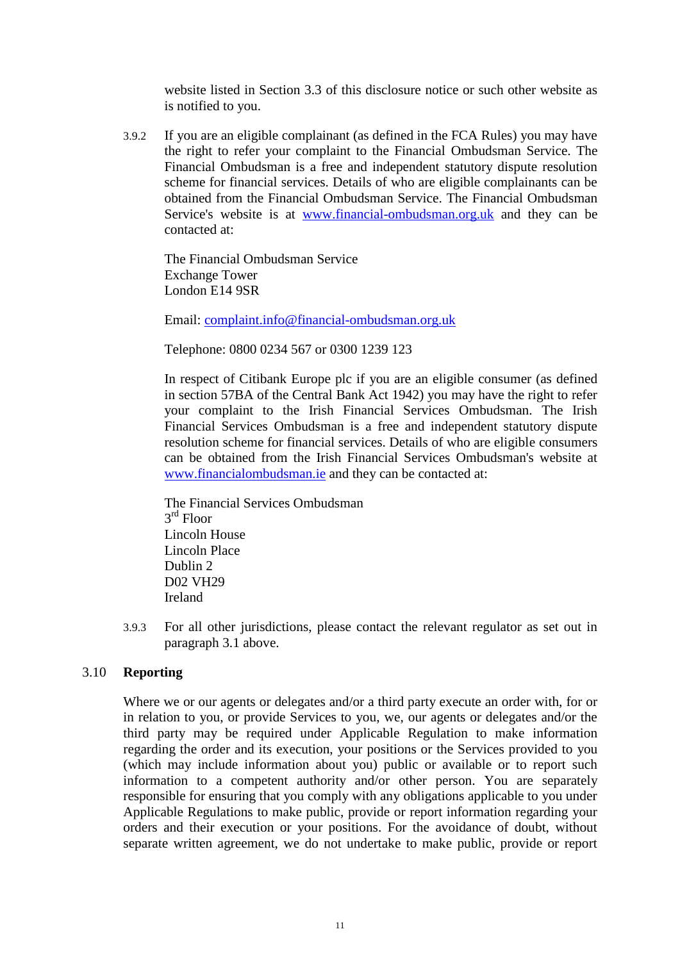website listed in Section [3.3](#page-8-0) of this disclosure notice or such other website as is notified to you.

3.9.2 If you are an eligible complainant (as defined in the FCA Rules) you may have the right to refer your complaint to the Financial Ombudsman Service. The Financial Ombudsman is a free and independent statutory dispute resolution scheme for financial services. Details of who are eligible complainants can be obtained from the Financial Ombudsman Service. The Financial Ombudsman Service's website is at [www.financial-ombudsman.org.uk](http://www.financial-ombudsman.org.uk/) and they can be contacted at:

The Financial Ombudsman Service Exchange Tower London E14 9SR

Email: [complaint.info@financial-ombudsman.org.uk](mailto:complaint.info@financial-ombudsman.org.uk)

Telephone: 0800 0234 567 or 0300 1239 123

In respect of Citibank Europe plc if you are an eligible consumer (as defined in section 57BA of the Central Bank Act 1942) you may have the right to refer your complaint to the Irish Financial Services Ombudsman. The Irish Financial Services Ombudsman is a free and independent statutory dispute resolution scheme for financial services. Details of who are eligible consumers can be obtained from the Irish Financial Services Ombudsman's website at [www.financialombudsman.ie](http://www.financialombudsman.ie/) and they can be contacted at:

The Financial Services Ombudsman 3 rd Floor Lincoln House Lincoln Place Dublin 2 D02 VH29 Ireland

3.9.3 For all other jurisdictions, please contact the relevant regulator as set out in paragraph 3.1 above.

#### 3.10 **Reporting**

Where we or our agents or delegates and/or a third party execute an order with, for or in relation to you, or provide Services to you, we, our agents or delegates and/or the third party may be required under Applicable Regulation to make information regarding the order and its execution, your positions or the Services provided to you (which may include information about you) public or available or to report such information to a competent authority and/or other person. You are separately responsible for ensuring that you comply with any obligations applicable to you under Applicable Regulations to make public, provide or report information regarding your orders and their execution or your positions. For the avoidance of doubt, without separate written agreement, we do not undertake to make public, provide or report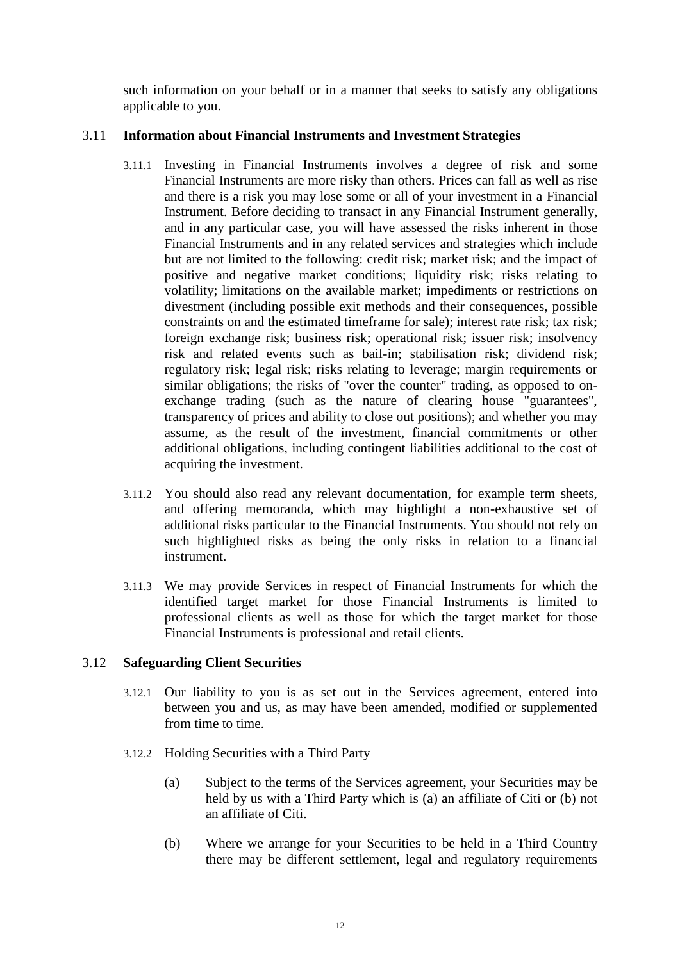such information on your behalf or in a manner that seeks to satisfy any obligations applicable to you.

## 3.11 **Information about Financial Instruments and Investment Strategies**

- 3.11.1 Investing in Financial Instruments involves a degree of risk and some Financial Instruments are more risky than others. Prices can fall as well as rise and there is a risk you may lose some or all of your investment in a Financial Instrument. Before deciding to transact in any Financial Instrument generally, and in any particular case, you will have assessed the risks inherent in those Financial Instruments and in any related services and strategies which include but are not limited to the following: credit risk; market risk; and the impact of positive and negative market conditions; liquidity risk; risks relating to volatility; limitations on the available market; impediments or restrictions on divestment (including possible exit methods and their consequences, possible constraints on and the estimated timeframe for sale); interest rate risk; tax risk; foreign exchange risk; business risk; operational risk; issuer risk; insolvency risk and related events such as bail-in; stabilisation risk; dividend risk; regulatory risk; legal risk; risks relating to leverage; margin requirements or similar obligations; the risks of "over the counter" trading, as opposed to onexchange trading (such as the nature of clearing house "guarantees", transparency of prices and ability to close out positions); and whether you may assume, as the result of the investment, financial commitments or other additional obligations, including contingent liabilities additional to the cost of acquiring the investment.
- 3.11.2 You should also read any relevant documentation, for example term sheets, and offering memoranda, which may highlight a non-exhaustive set of additional risks particular to the Financial Instruments. You should not rely on such highlighted risks as being the only risks in relation to a financial instrument.
- 3.11.3 We may provide Services in respect of Financial Instruments for which the identified target market for those Financial Instruments is limited to professional clients as well as those for which the target market for those Financial Instruments is professional and retail clients.

#### 3.12 **Safeguarding Client Securities**

- 3.12.1 Our liability to you is as set out in the Services agreement, entered into between you and us, as may have been amended, modified or supplemented from time to time.
- 3.12.2 Holding Securities with a Third Party
	- (a) Subject to the terms of the Services agreement, your Securities may be held by us with a Third Party which is (a) an affiliate of Citi or (b) not an affiliate of Citi.
	- (b) Where we arrange for your Securities to be held in a Third Country there may be different settlement, legal and regulatory requirements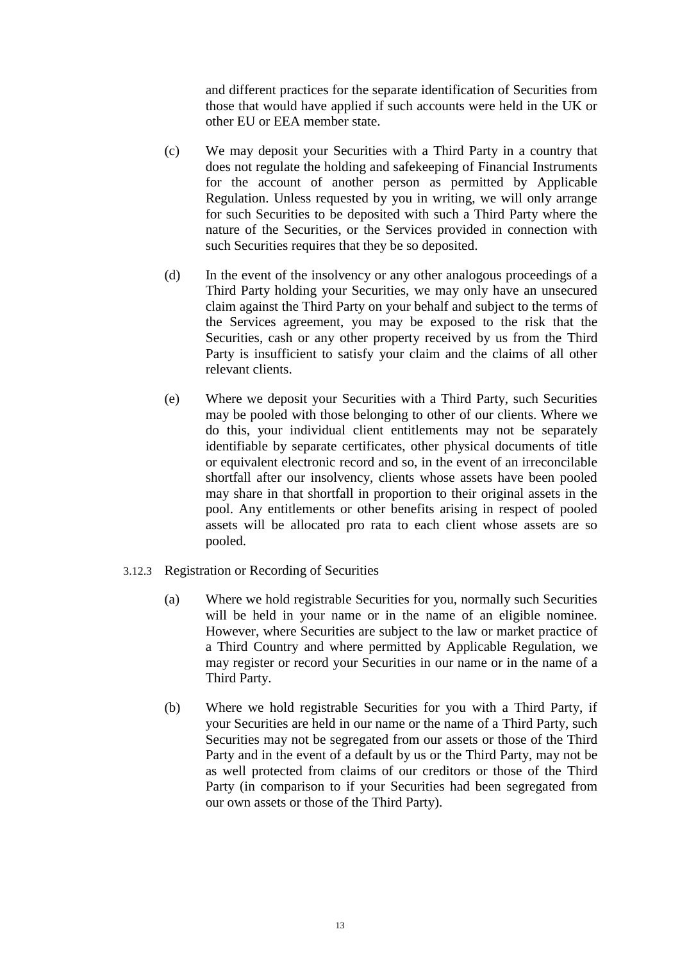and different practices for the separate identification of Securities from those that would have applied if such accounts were held in the UK or other EU or EEA member state.

- (c) We may deposit your Securities with a Third Party in a country that does not regulate the holding and safekeeping of Financial Instruments for the account of another person as permitted by Applicable Regulation. Unless requested by you in writing, we will only arrange for such Securities to be deposited with such a Third Party where the nature of the Securities, or the Services provided in connection with such Securities requires that they be so deposited.
- (d) In the event of the insolvency or any other analogous proceedings of a Third Party holding your Securities, we may only have an unsecured claim against the Third Party on your behalf and subject to the terms of the Services agreement, you may be exposed to the risk that the Securities, cash or any other property received by us from the Third Party is insufficient to satisfy your claim and the claims of all other relevant clients.
- (e) Where we deposit your Securities with a Third Party, such Securities may be pooled with those belonging to other of our clients. Where we do this, your individual client entitlements may not be separately identifiable by separate certificates, other physical documents of title or equivalent electronic record and so, in the event of an irreconcilable shortfall after our insolvency, clients whose assets have been pooled may share in that shortfall in proportion to their original assets in the pool. Any entitlements or other benefits arising in respect of pooled assets will be allocated pro rata to each client whose assets are so pooled.
- 3.12.3 Registration or Recording of Securities
	- (a) Where we hold registrable Securities for you, normally such Securities will be held in your name or in the name of an eligible nominee. However, where Securities are subject to the law or market practice of a Third Country and where permitted by Applicable Regulation, we may register or record your Securities in our name or in the name of a Third Party.
	- (b) Where we hold registrable Securities for you with a Third Party, if your Securities are held in our name or the name of a Third Party, such Securities may not be segregated from our assets or those of the Third Party and in the event of a default by us or the Third Party, may not be as well protected from claims of our creditors or those of the Third Party (in comparison to if your Securities had been segregated from our own assets or those of the Third Party).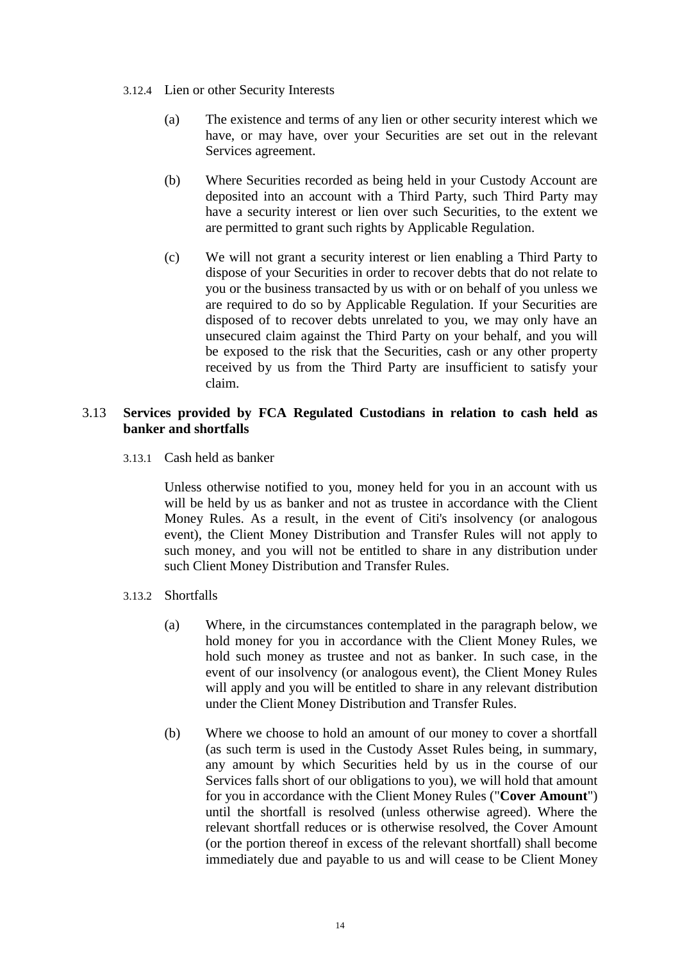- 3.12.4 Lien or other Security Interests
	- (a) The existence and terms of any lien or other security interest which we have, or may have, over your Securities are set out in the relevant Services agreement.
	- (b) Where Securities recorded as being held in your Custody Account are deposited into an account with a Third Party, such Third Party may have a security interest or lien over such Securities, to the extent we are permitted to grant such rights by Applicable Regulation.
	- (c) We will not grant a security interest or lien enabling a Third Party to dispose of your Securities in order to recover debts that do not relate to you or the business transacted by us with or on behalf of you unless we are required to do so by Applicable Regulation. If your Securities are disposed of to recover debts unrelated to you, we may only have an unsecured claim against the Third Party on your behalf, and you will be exposed to the risk that the Securities, cash or any other property received by us from the Third Party are insufficient to satisfy your claim.

## 3.13 **Services provided by FCA Regulated Custodians in relation to cash held as banker and shortfalls**

3.13.1 Cash held as banker

Unless otherwise notified to you, money held for you in an account with us will be held by us as banker and not as trustee in accordance with the Client Money Rules. As a result, in the event of Citi's insolvency (or analogous event), the Client Money Distribution and Transfer Rules will not apply to such money, and you will not be entitled to share in any distribution under such Client Money Distribution and Transfer Rules.

- 3.13.2 Shortfalls
	- (a) Where, in the circumstances contemplated in the paragraph below, we hold money for you in accordance with the Client Money Rules, we hold such money as trustee and not as banker. In such case, in the event of our insolvency (or analogous event), the Client Money Rules will apply and you will be entitled to share in any relevant distribution under the Client Money Distribution and Transfer Rules.
	- (b) Where we choose to hold an amount of our money to cover a shortfall (as such term is used in the Custody Asset Rules being, in summary, any amount by which Securities held by us in the course of our Services falls short of our obligations to you), we will hold that amount for you in accordance with the Client Money Rules ("**Cover Amount**") until the shortfall is resolved (unless otherwise agreed). Where the relevant shortfall reduces or is otherwise resolved, the Cover Amount (or the portion thereof in excess of the relevant shortfall) shall become immediately due and payable to us and will cease to be Client Money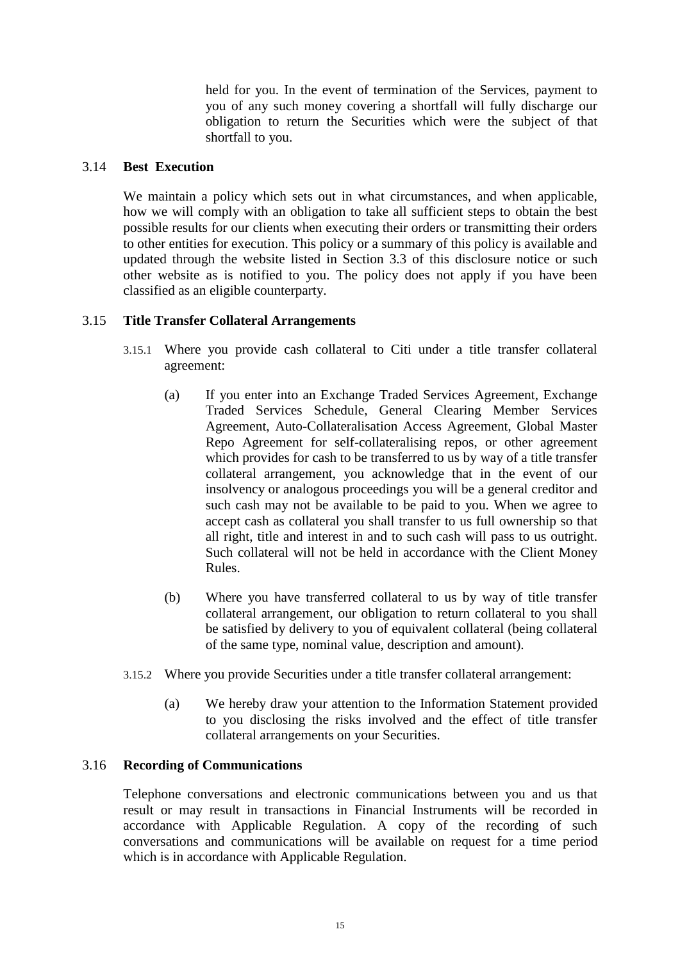held for you. In the event of termination of the Services, payment to you of any such money covering a shortfall will fully discharge our obligation to return the Securities which were the subject of that shortfall to you.

## 3.14 **Best Execution**

We maintain a policy which sets out in what circumstances, and when applicable, how we will comply with an obligation to take all sufficient steps to obtain the best possible results for our clients when executing their orders or transmitting their orders to other entities for execution. This policy or a summary of this policy is available and updated through the website listed in Section 3.3 of this disclosure notice or such other website as is notified to you. The policy does not apply if you have been classified as an eligible counterparty.

## 3.15 **Title Transfer Collateral Arrangements**

- 3.15.1 Where you provide cash collateral to Citi under a title transfer collateral agreement:
	- (a) If you enter into an Exchange Traded Services Agreement, Exchange Traded Services Schedule, General Clearing Member Services Agreement, Auto-Collateralisation Access Agreement, Global Master Repo Agreement for self-collateralising repos, or other agreement which provides for cash to be transferred to us by way of a title transfer collateral arrangement, you acknowledge that in the event of our insolvency or analogous proceedings you will be a general creditor and such cash may not be available to be paid to you. When we agree to accept cash as collateral you shall transfer to us full ownership so that all right, title and interest in and to such cash will pass to us outright. Such collateral will not be held in accordance with the Client Money Rules.
	- (b) Where you have transferred collateral to us by way of title transfer collateral arrangement, our obligation to return collateral to you shall be satisfied by delivery to you of equivalent collateral (being collateral of the same type, nominal value, description and amount).
- 3.15.2 Where you provide Securities under a title transfer collateral arrangement:
	- (a) We hereby draw your attention to the Information Statement provided to you disclosing the risks involved and the effect of title transfer collateral arrangements on your Securities.

#### 3.16 **Recording of Communications**

Telephone conversations and electronic communications between you and us that result or may result in transactions in Financial Instruments will be recorded in accordance with Applicable Regulation. A copy of the recording of such conversations and communications will be available on request for a time period which is in accordance with Applicable Regulation.